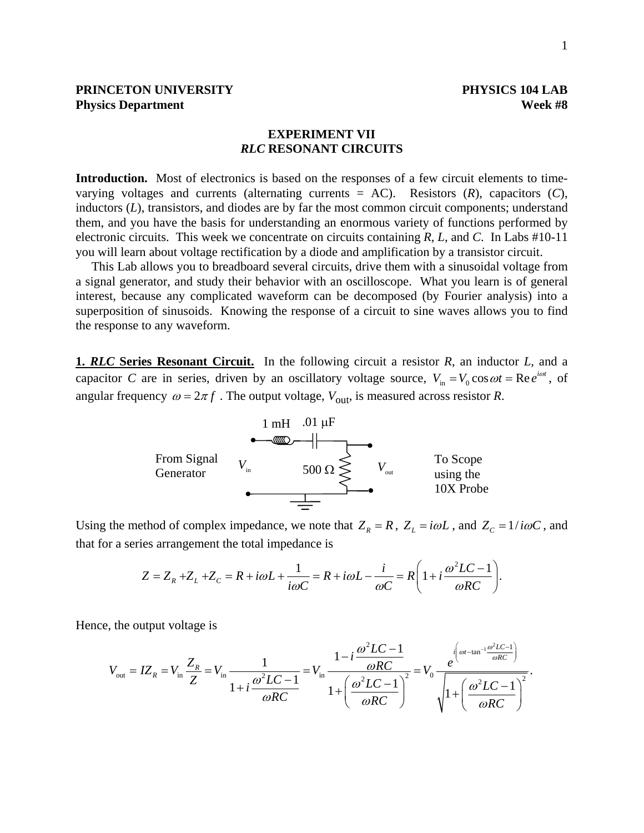# **PRINCETON UNIVERSITY PHYSICS 104 LAB Physics Department** Week #8

# **EXPERIMENT VII**  *RLC* **RESONANT CIRCUITS**

**Introduction.** Most of electronics is based on the responses of a few circuit elements to timevarying voltages and currents (alternating currents = AC). Resistors (*R*), capacitors (*C*), inductors (*L*), transistors, and diodes are by far the most common circuit components; understand them, and you have the basis for understanding an enormous variety of functions performed by electronic circuits. This week we concentrate on circuits containing *R*, *L*, and *C*. In Labs #10-11 you will learn about voltage rectification by a diode and amplification by a transistor circuit.

 This Lab allows you to breadboard several circuits, drive them with a sinusoidal voltage from a signal generator, and study their behavior with an oscilloscope. What you learn is of general interest, because any complicated waveform can be decomposed (by Fourier analysis) into a superposition of sinusoids. Knowing the response of a circuit to sine waves allows you to find the response to any waveform.

**1.** *RLC* **Series Resonant Circuit.** In the following circuit a resistor *R*, an inductor *L*, and a capacitor *C* are in series, driven by an oscillatory voltage source,  $V_{in} = V_0 \cos \omega t = \text{Re} e^{i\omega t}$ , of angular frequency  $\omega = 2\pi f$ . The output voltage,  $V_{\text{out}}$ , is measured across resistor *R*.



Using the method of complex impedance, we note that  $Z_R = R$ ,  $Z_L = i\omega L$ , and  $Z_C = 1/i\omega C$ , and that for a series arrangement the total impedance is

$$
Z = Z_R + Z_L + Z_C = R + i\omega L + \frac{1}{i\omega C} = R + i\omega L - \frac{i}{\omega C} = R\left(1 + i\frac{\omega^2 LC - 1}{\omega RC}\right).
$$

Hence, the output voltage is

$$
V_{\text{out}} = IZ_R = V_{\text{in}} \frac{Z_R}{Z} = V_{\text{in}} \frac{1}{1 + i \frac{\omega^2 LC - 1}{\omega RC}} = V_{\text{in}} \frac{1 - i \frac{\omega^2 LC - 1}{\omega RC}}{1 + \left(\frac{\omega^2 LC - 1}{\omega RC}\right)^2} = V_0 \frac{e^{i\left(\omega t - \tan^{-1} \frac{\omega^2 LC - 1}{\omega RC}\right)}}{\sqrt{1 + \left(\frac{\omega^2 LC - 1}{\omega RC}\right)^2}}.
$$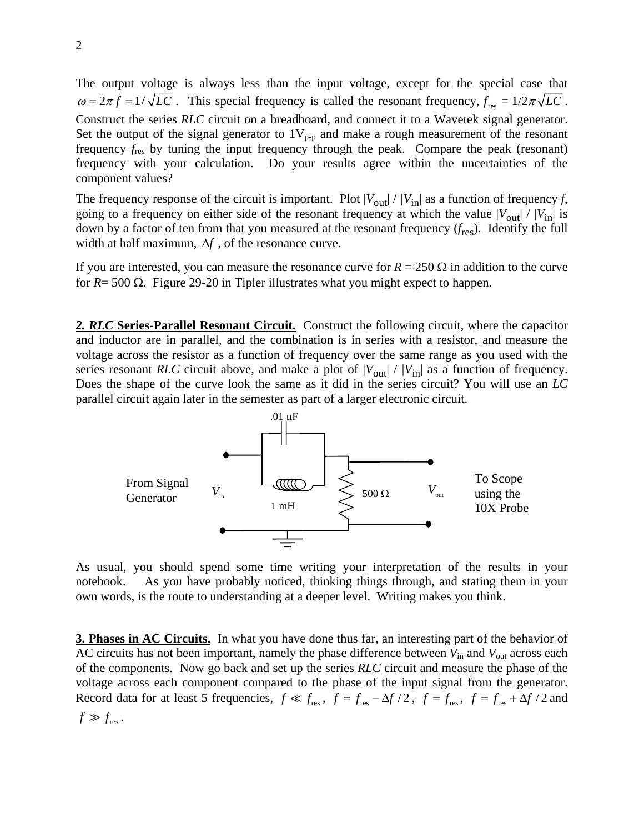The output voltage is always less than the input voltage, except for the special case that  $\omega = 2\pi f = 1/\sqrt{LC}$ . This special frequency is called the resonant frequency,  $f_{res} = 1/2\pi\sqrt{LC}$ . Construct the series *RLC* circuit on a breadboard, and connect it to a Wavetek signal generator. Set the output of the signal generator to  $1V_{p-p}$  and make a rough measurement of the resonant frequency *f*res by tuning the input frequency through the peak. Compare the peak (resonant) frequency with your calculation. Do your results agree within the uncertainties of the component values?

The frequency response of the circuit is important. Plot  $|V_{\text{out}}| / |V_{\text{in}}|$  as a function of frequency *f*, going to a frequency on either side of the resonant frequency at which the value  $|V_{\text{out}}| / |V_{\text{in}}|$  is down by a factor of ten from that you measured at the resonant frequency (*f*res). Identify the full width at half maximum, ∆*f* , of the resonance curve.

If you are interested, you can measure the resonance curve for  $R = 250 \Omega$  in addition to the curve for *R*= 500 Ω. Figure 29-20 in Tipler illustrates what you might expect to happen.

*2. RLC* **Series-Parallel Resonant Circuit.** Construct the following circuit, where the capacitor and inductor are in parallel, and the combination is in series with a resistor, and measure the voltage across the resistor as a function of frequency over the same range as you used with the series resonant *RLC* circuit above, and make a plot of  $|V_{\text{out}}| / |V_{\text{in}}|$  as a function of frequency. Does the shape of the curve look the same as it did in the series circuit? You will use an *LC* parallel circuit again later in the semester as part of a larger electronic circuit.



As usual, you should spend some time writing your interpretation of the results in your notebook. As you have probably noticed, thinking things through, and stating them in your own words, is the route to understanding at a deeper level. Writing makes you think.

**3. Phases in AC Circuits.** In what you have done thus far, an interesting part of the behavior of AC circuits has not been important, namely the phase difference between *V*in and *V*out across each of the components. Now go back and set up the series *RLC* circuit and measure the phase of the voltage across each component compared to the phase of the input signal from the generator. Record data for at least 5 frequencies,  $f \ll f_{res}$ ,  $f = f_{res} - \Delta f / 2$ ,  $f = f_{res}$ ,  $f = f_{res} + \Delta f / 2$  and  $f \gg f_{\text{res}}$ .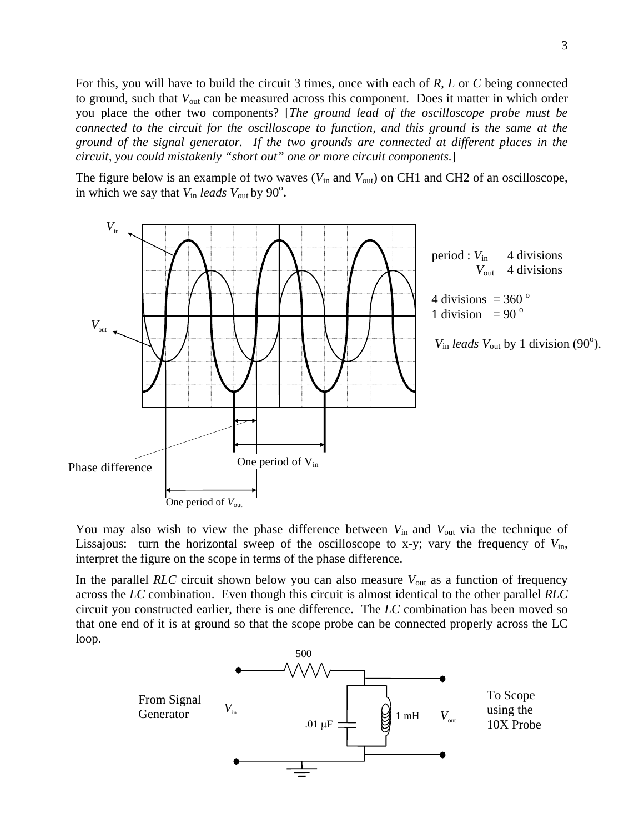For this, you will have to build the circuit 3 times, once with each of *R*, *L* or *C* being connected to ground, such that *V*out can be measured across this component. Does it matter in which order you place the other two components? [*The ground lead of the oscilloscope probe must be connected to the circuit for the oscilloscope to function, and this ground is the same at the ground of the signal generator. If the two grounds are connected at different places in the circuit, you could mistakenly "short out" one or more circuit components.*]

The figure below is an example of two waves ( $V_{\text{in}}$  and  $V_{\text{out}}$ ) on CH1 and CH2 of an oscilloscope, in which we say that  $V_{\text{in}}$  *leads*  $V_{\text{out}}$  by 90 $^{\circ}$ .



You may also wish to view the phase difference between  $V_{\text{in}}$  and  $V_{\text{out}}$  via the technique of Lissajous: turn the horizontal sweep of the oscilloscope to x-y; vary the frequency of  $V_{\text{in}}$ , interpret the figure on the scope in terms of the phase difference.

In the parallel *RLC* circuit shown below you can also measure *V*out as a function of frequency across the *LC* combination. Even though this circuit is almost identical to the other parallel *RLC* circuit you constructed earlier, there is one difference. The *LC* combination has been moved so that one end of it is at ground so that the scope probe can be connected properly across the LC loop.

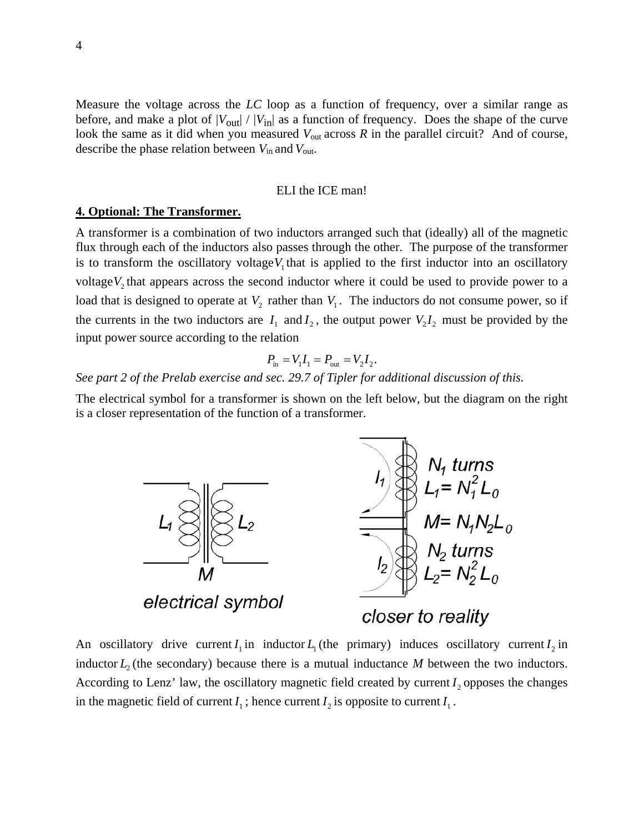Measure the voltage across the *LC* loop as a function of frequency, over a similar range as before, and make a plot of  $|V_{\text{out}}| / |V_{\text{in}}|$  as a function of frequency. Does the shape of the curve look the same as it did when you measured  $V_{\text{out}}$  across  $R$  in the parallel circuit? And of course, describe the phase relation between *V*in and *V*out.

### ELI the ICE man!

### **4. Optional: The Transformer.**

A transformer is a combination of two inductors arranged such that (ideally) all of the magnetic flux through each of the inductors also passes through the other. The purpose of the transformer is to transform the oscillatory voltage $V_1$  that is applied to the first inductor into an oscillatory voltage $V_2$  that appears across the second inductor where it could be used to provide power to a load that is designed to operate at  $V_2$  rather than  $V_1$ . The inductors do not consume power, so if the currents in the two inductors are  $I_1$  and  $I_2$ , the output power  $V_2 I_2$  must be provided by the input power source according to the relation

$$
P_{\text{in}} = V_1 I_1 = P_{\text{out}} = V_2 I_2.
$$

*See part 2 of the Prelab exercise and sec. 29.7 of Tipler for additional discussion of this.* 

The electrical symbol for a transformer is shown on the left below, but the diagram on the right is a closer representation of the function of a transformer.



An oscillatory drive current  $I_1$  in inductor  $L_1$  (the primary) induces oscillatory current  $I_2$  in inductor  $L_2$  (the secondary) because there is a mutual inductance M between the two inductors. According to Lenz' law, the oscillatory magnetic field created by current  $I_2$ , opposes the changes in the magnetic field of current  $I_1$ ; hence current  $I_2$  is opposite to current  $I_1$ .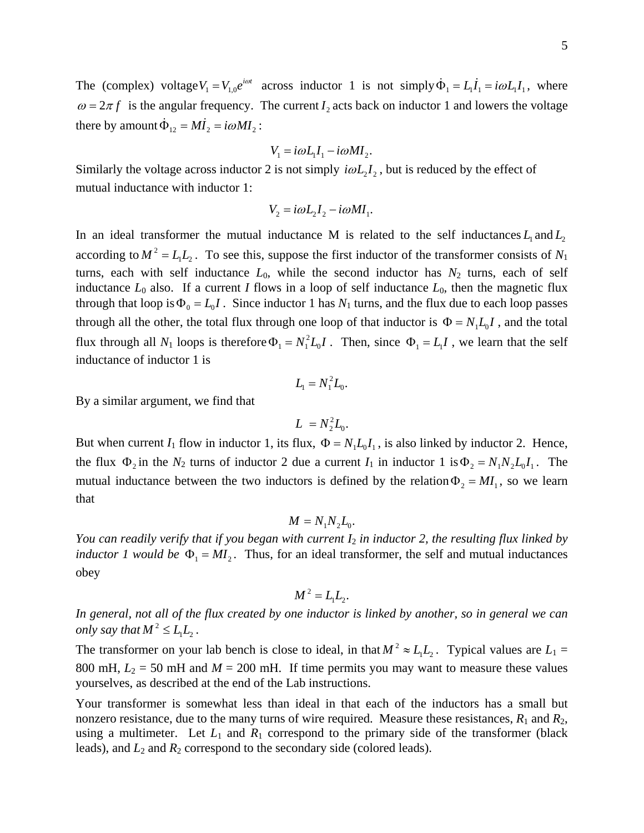The (complex) voltage  $V_1 = V_{1,0}e^{i\omega t}$  across inductor 1 is not simply  $\dot{\Phi}_1 = L_1 \dot{I}_1 = i\omega L_1 I_1$ , where  $\omega = 2\pi f$  is the angular frequency. The current I<sub>2</sub> acts back on inductor 1 and lowers the voltage there by amount  $\dot{\Phi}_{12} = M\dot{I}_2 = i\omega M I_2$ :

$$
V_1 = i\omega L_1 I_1 - i\omega M I_2.
$$

Similarly the voltage across inductor 2 is not simply  $i\omega L_2 I_2$ , but is reduced by the effect of mutual inductance with inductor 1:

$$
V_2 = i\omega L_2 I_2 - i\omega M I_1.
$$

In an ideal transformer the mutual inductance M is related to the self inductances  $L_1$  and  $L_2$ according to  $M^2 = L_1 L_2$ . To see this, suppose the first inductor of the transformer consists of  $N_1$ turns, each with self inductance  $L_0$ , while the second inductor has  $N_2$  turns, each of self inductance  $L_0$  also. If a current *I* flows in a loop of self inductance  $L_0$ , then the magnetic flux through that loop is  $\Phi_0 = L_0 I$ . Since inductor 1 has  $N_1$  turns, and the flux due to each loop passes through all the other, the total flux through one loop of that inductor is  $\Phi = N_1 L_0 I$ , and the total flux through all  $N_1$  loops is therefore  $\Phi_1 = N_1^2 L_0 I$ . Then, since  $\Phi_1 = L_1 I$ , we learn that the self inductance of inductor 1 is

$$
L_{1}=N_{1}^{2}L_{0}.
$$

By a similar argument, we find that

$$
L = N_2^2 L_0.
$$

But when current *I*<sub>1</sub> flow in inductor 1, its flux,  $\Phi = N_1 L_0 I_1$ , is also linked by inductor 2. Hence, the flux  $\Phi_2$  in the  $N_2$  turns of inductor 2 due a current  $I_1$  in inductor 1 is  $\Phi_2 = N_1 N_2 L_0 I_1$ . The mutual inductance between the two inductors is defined by the relation  $\Phi_2 = MI_1$ , so we learn that

$$
M = N_1 N_2 L_0.
$$

*You can readily verify that if you began with current I*2 *in inductor 2, the resulting flux linked by inductor 1 would be*  $\Phi_1 = MI_2$ . Thus, for an ideal transformer, the self and mutual inductances obey

$$
M^2=L_1L_2.
$$

*In general, not all of the flux created by one inductor is linked by another, so in general we can only say that*  $M^2 \leq L_1 L_2$ .

The transformer on your lab bench is close to ideal, in that  $M^2 \approx L_1 L_2$ . Typical values are  $L_1 =$ 800 mH,  $L_2 = 50$  mH and  $M = 200$  mH. If time permits you may want to measure these values yourselves, as described at the end of the Lab instructions.

Your transformer is somewhat less than ideal in that each of the inductors has a small but nonzero resistance, due to the many turns of wire required. Measure these resistances,  $R_1$  and  $R_2$ , using a multimeter. Let  $L_1$  and  $R_1$  correspond to the primary side of the transformer (black leads), and *L*2 and *R*2 correspond to the secondary side (colored leads).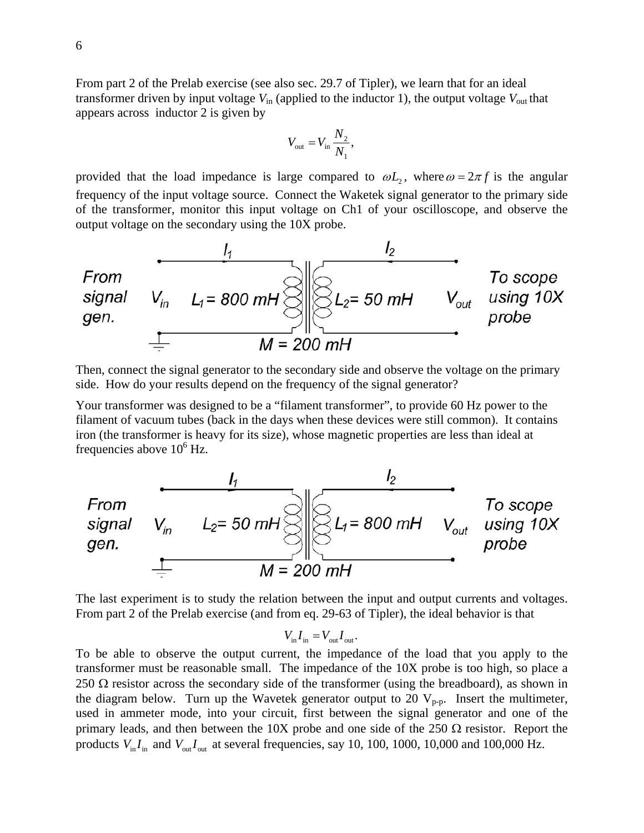From part 2 of the Prelab exercise (see also sec. 29.7 of Tipler), we learn that for an ideal transformer driven by input voltage  $V_{in}$  (applied to the inductor 1), the output voltage  $V_{out}$  that appears across inductor 2 is given by

$$
V_{\rm out}=V_{\rm in}\,\frac{N_2}{N_1},
$$

provided that the load impedance is large compared to  $\omega L$ , where  $\omega = 2\pi f$  is the angular frequency of the input voltage source. Connect the Waketek signal generator to the primary side of the transformer, monitor this input voltage on Ch1 of your oscilloscope, and observe the output voltage on the secondary using the 10X probe.



Then, connect the signal generator to the secondary side and observe the voltage on the primary side. How do your results depend on the frequency of the signal generator?

Your transformer was designed to be a "filament transformer", to provide 60 Hz power to the filament of vacuum tubes (back in the days when these devices were still common). It contains iron (the transformer is heavy for its size), whose magnetic properties are less than ideal at frequencies above  $10^6$  Hz.



The last experiment is to study the relation between the input and output currents and voltages. From part 2 of the Prelab exercise (and from eq. 29-63 of Tipler), the ideal behavior is that

$$
V_{\rm in} I_{\rm in} = V_{\rm out} I_{\rm out}.
$$

To be able to observe the output current, the impedance of the load that you apply to the transformer must be reasonable small. The impedance of the 10X probe is too high, so place a 250  $\Omega$  resistor across the secondary side of the transformer (using the breadboard), as shown in the diagram below. Turn up the Wavetek generator output to 20  $V_{p-p}$ . Insert the multimeter, used in ammeter mode, into your circuit, first between the signal generator and one of the primary leads, and then between the 10X probe and one side of the 250  $\Omega$  resistor. Report the products  $V_{\text{in}}I_{\text{in}}$  and  $V_{\text{out}}I_{\text{out}}$  at several frequencies, say 10, 100, 1000, 10,000 and 100,000 Hz.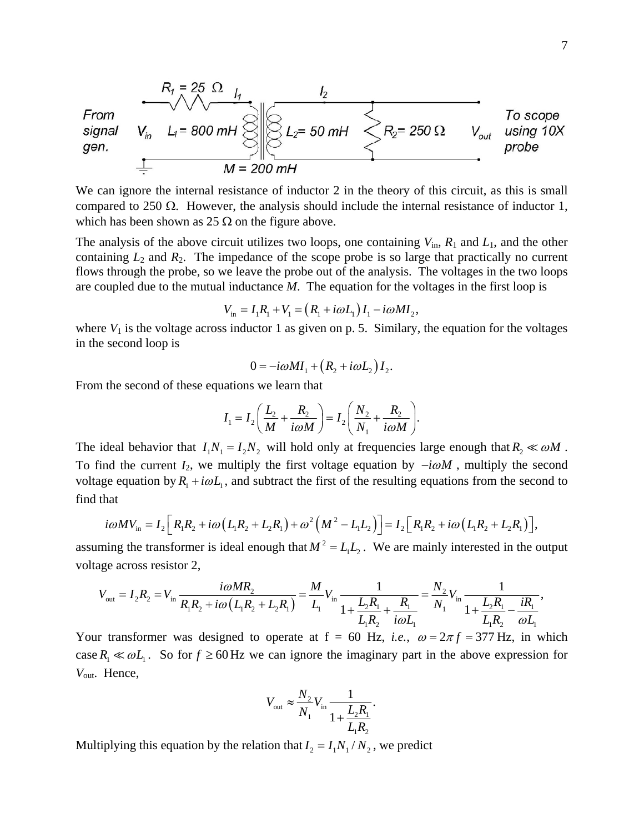

We can ignore the internal resistance of inductor 2 in the theory of this circuit, as this is small compared to 250 Ω. However, the analysis should include the internal resistance of inductor 1, which has been shown as 25  $\Omega$  on the figure above.

The analysis of the above circuit utilizes two loops, one containing  $V_{\text{in}}$ ,  $R_1$  and  $L_1$ , and the other containing  $L_2$  and  $R_2$ . The impedance of the scope probe is so large that practically no current flows through the probe, so we leave the probe out of the analysis. The voltages in the two loops are coupled due to the mutual inductance *M*. The equation for the voltages in the first loop is

$$
V_{\text{in}} = I_1 R_1 + V_1 = (R_1 + i\omega L_1) I_1 - i\omega M I_2,
$$

where  $V_1$  is the voltage across inductor 1 as given on p. 5. Similary, the equation for the voltages in the second loop is

$$
0 = -i\omega M I_1 + (R_2 + i\omega L_2) I_2.
$$

From the second of these equations we learn that

$$
I_1 = I_2 \bigg( \frac{L_2}{M} + \frac{R_2}{i\omega M} \bigg) = I_2 \bigg( \frac{N_2}{N_1} + \frac{R_2}{i\omega M} \bigg).
$$

The ideal behavior that  $I_1 N_1 = I_2 N_2$  will hold only at frequencies large enough that  $R_2 \ll \omega M$ . To find the current  $I_2$ , we multiply the first voltage equation by  $-i\omega M$ , multiply the second voltage equation by  $R_1 + i\omega L_1$ , and subtract the first of the resulting equations from the second to find that

$$
i\omega MV_{\rm in} = I_2 \Big[ R_1 R_2 + i\omega \big( L_1 R_2 + L_2 R_1 \big) + \omega^2 \big( M^2 - L_1 L_2 \big) \Big] = I_2 \Big[ R_1 R_2 + i\omega \big( L_1 R_2 + L_2 R_1 \big) \Big],
$$

assuming the transformer is ideal enough that  $M^2 = L_1 L_2$ . We are mainly interested in the output voltage across resistor 2,

$$
V_{\text{out}} = I_2 R_2 = V_{\text{in}} \frac{i\omega M R_2}{R_1 R_2 + i\omega (L_1 R_2 + L_2 R_1)} = \frac{M}{L_1} V_{\text{in}} \frac{1}{1 + \frac{L_2 R_1}{L_1 R_2} + \frac{R_1}{i\omega L_1}} = \frac{N_2}{N_1} V_{\text{in}} \frac{1}{1 + \frac{L_2 R_1}{L_1 R_2} - \frac{iR_1}{\omega L_1}},
$$

Your transformer was designed to operate at  $f = 60$  Hz, *i.e.*,  $\omega = 2\pi f = 377$  Hz, in which case  $R_1 \ll \omega L_1$ . So for  $f \ge 60$  Hz we can ignore the imaginary part in the above expression for *V*out. Hence,

$$
V_{\text{out}} \approx \frac{N_2}{N_1} V_{\text{in}} \frac{1}{1 + \frac{L_2 R_1}{L_1 R_2}}.
$$

Multiplying this equation by the relation that  $I_2 = I_1 N_1 / N_2$ , we predict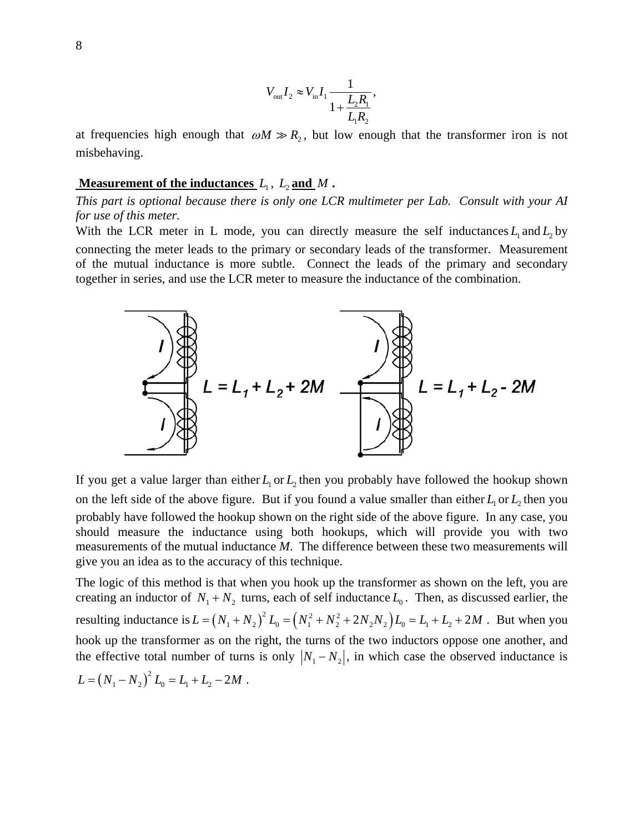$$
V_{\text{out}}I_2 \approx V_{\text{in}}I_1 \frac{1}{1 + \frac{L_2 R_1}{L_1 R_2}},
$$

at frequencies high enough that  $\omega M \gg R_2$ , but low enough that the transformer iron is not misbehaving.

### **<u>Measurement of the inductances</u>**  $L_1$ ,  $L_2$  **and**  $M$  **.**

*This part is optional because there is only one LCR multimeter per Lab. Consult with your AI for use of this meter.* 

With the LCR meter in L mode, you can directly measure the self inductances  $L_1$  and  $L_2$  by connecting the meter leads to the primary or secondary leads of the transformer. Measurement of the mutual inductance is more subtle. Connect the leads of the primary and secondary together in series, and use the LCR meter to measure the inductance of the combination.



If you get a value larger than either  $L_1$  or  $L_2$ , then you probably have followed the hookup shown on the left side of the above figure. But if you found a value smaller than either  $L_1$  or  $L_2$ , then you probably have followed the hookup shown on the right side of the above figure. In any case, you should measure the inductance using both hookups, which will provide you with two measurements of the mutual inductance *M*. The difference between these two measurements will give you an idea as to the accuracy of this technique.

The logic of this method is that when you hook up the transformer as shown on the left, you are creating an inductor of  $N_1 + N_2$  turns, each of self inductance  $L_0$ . Then, as discussed earlier, the resulting inductance is  $L = (N_1 + N_2)^2 L_0 = (N_1^2 + N_2^2 + 2N_2 N_2) L_0 = L_1 + L_2 + 2M$ . But when you hook up the transformer as on the right, the turns of the two inductors oppose one another, and the effective total number of turns is only  $|N_1 - N_2|$ , in which case the observed inductance is  $L = (N_1 - N_2)^2 L_0 = L_1 + L_2 - 2M$ .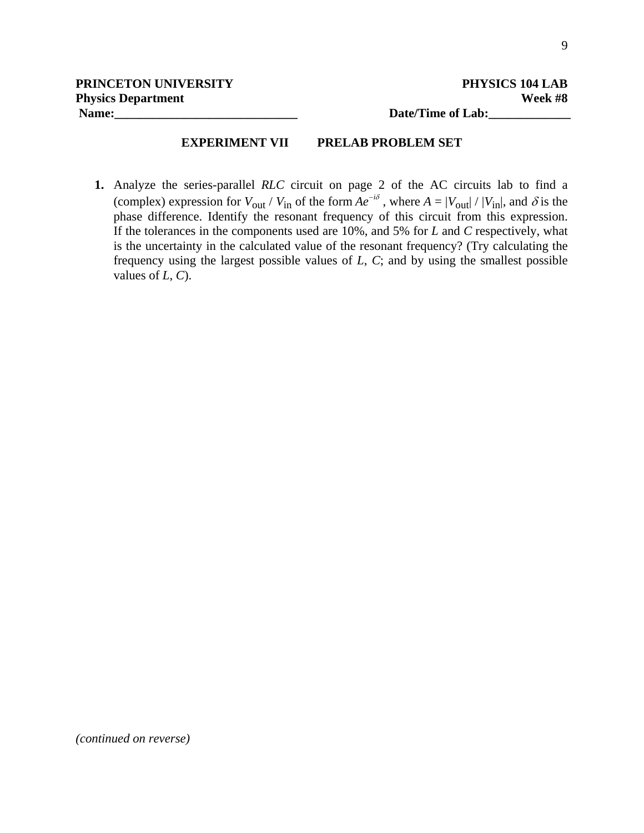# **EXPERIMENT VII PRELAB PROBLEM SET**

**1.** Analyze the series-parallel *RLC* circuit on page 2 of the AC circuits lab to find a (complex) expression for  $V_{\text{out}}/V_{\text{in}}$  of the form  $Ae^{-i\delta}$ , where  $A = |V_{\text{out}}|/|V_{\text{in}}|$ , and  $\delta$  is the phase difference. Identify the resonant frequency of this circuit from this expression. If the tolerances in the components used are 10%, and 5% for *L* and *C* respectively, what is the uncertainty in the calculated value of the resonant frequency? (Try calculating the frequency using the largest possible values of *L*, *C*; and by using the smallest possible values of *L*, *C*).

*(continued on reverse)*